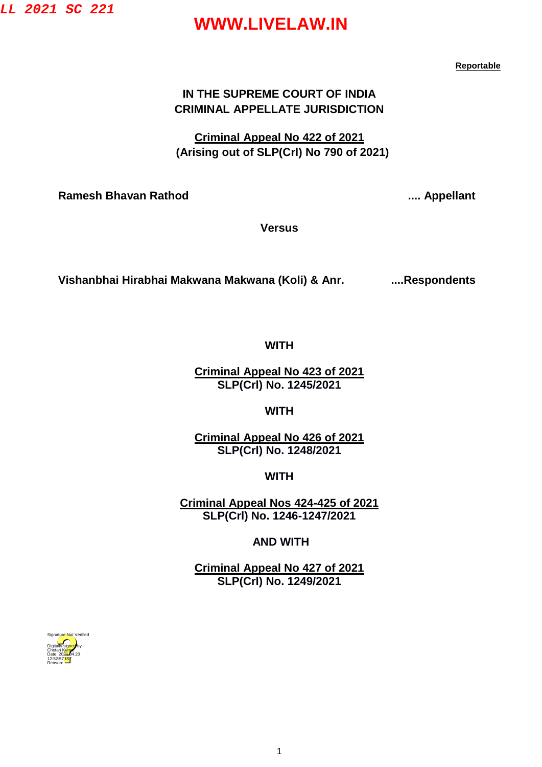**LL 2021 SC 221**

## **WWW.LIVELAW.IN**

**Reportable** 

#### **IN THE SUPREME COURT OF INDIA CRIMINAL APPELLATE JURISDICTION**

**Criminal Appeal No 422 of 2021 (Arising out of SLP(Crl) No 790 of 2021)**

**Ramesh Bhavan Rathod .... Appellant** 

**Versus**

**Vishanbhai Hirabhai Makwana Makwana (Koli) & Anr. ....Respondents**

#### **WITH**

**Criminal Appeal No 423 of 2021 SLP(Crl) No. 1245/2021**

**WITH** 

**Criminal Appeal No 426 of 2021 SLP(Crl) No. 1248/2021**

**WITH**

**Criminal Appeal Nos 424-425 of 2021 SLP(Crl) No. 1246-1247/2021**

**AND WITH**

**Criminal Appeal No 427 of 2021 SLP(Crl) No. 1249/2021**

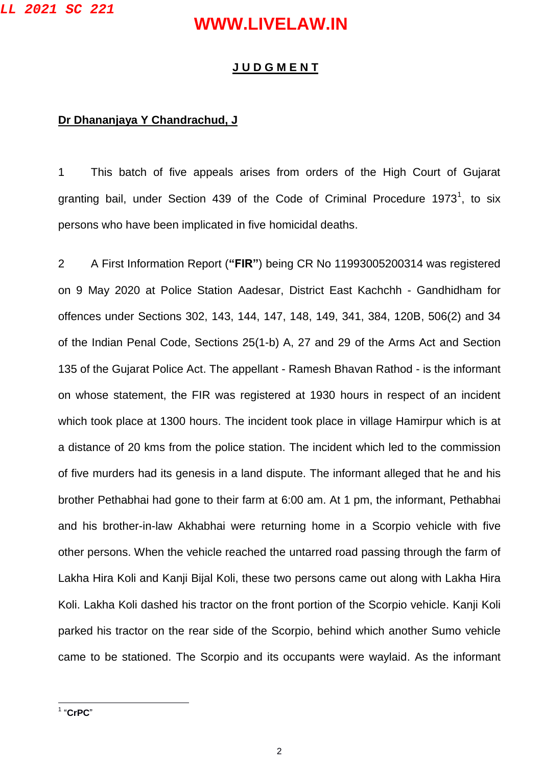#### **J U D G M E N T**

#### **Dr Dhananjaya Y Chandrachud, J**

1 This batch of five appeals arises from orders of the High Court of Gujarat granting bail, under Section 439 of the Code of Criminal Procedure 1973<sup>1</sup>, to six persons who have been implicated in five homicidal deaths.

2 A First Information Report (**"FIR"**) being CR No 11993005200314 was registered on 9 May 2020 at Police Station Aadesar, District East Kachchh - Gandhidham for offences under Sections 302, 143, 144, 147, 148, 149, 341, 384, 120B, 506(2) and 34 of the Indian Penal Code, Sections 25(1-b) A, 27 and 29 of the Arms Act and Section 135 of the Gujarat Police Act. The appellant - Ramesh Bhavan Rathod - is the informant on whose statement, the FIR was registered at 1930 hours in respect of an incident which took place at 1300 hours. The incident took place in village Hamirpur which is at a distance of 20 kms from the police station. The incident which led to the commission of five murders had its genesis in a land dispute. The informant alleged that he and his brother Pethabhai had gone to their farm at 6:00 am. At 1 pm, the informant, Pethabhai and his brother-in-law Akhabhai were returning home in a Scorpio vehicle with five other persons. When the vehicle reached the untarred road passing through the farm of Lakha Hira Koli and Kanji Bijal Koli, these two persons came out along with Lakha Hira Koli. Lakha Koli dashed his tractor on the front portion of the Scorpio vehicle. Kanji Koli parked his tractor on the rear side of the Scorpio, behind which another Sumo vehicle came to be stationed. The Scorpio and its occupants were waylaid. As the informant

1 "**CrPC**"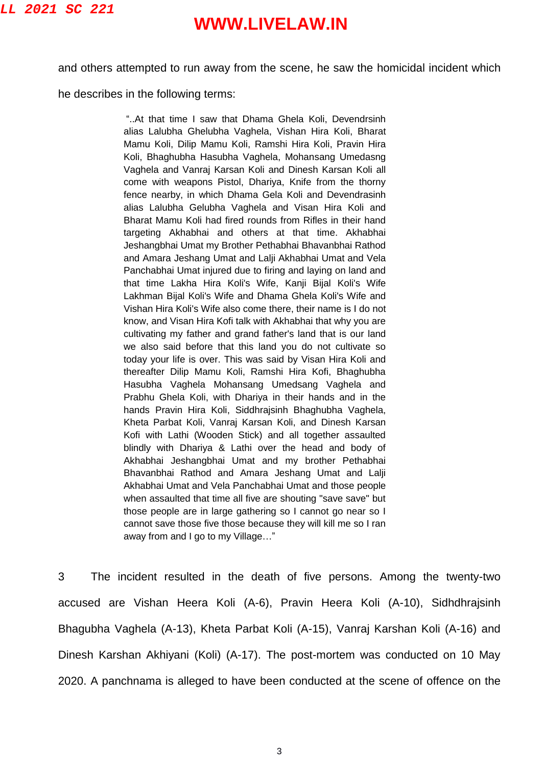and others attempted to run away from the scene, he saw the homicidal incident which

he describes in the following terms:

"..At that time I saw that Dhama Ghela Koli, Devendrsinh alias Lalubha Ghelubha Vaghela, Vishan Hira Koli, Bharat Mamu Koli, Dilip Mamu Koli, Ramshi Hira Koli, Pravin Hira Koli, Bhaghubha Hasubha Vaghela, Mohansang Umedasng Vaghela and Vanraj Karsan Koli and Dinesh Karsan Koli all come with weapons Pistol, Dhariya, Knife from the thorny fence nearby, in which Dhama Gela Koli and Devendrasinh alias Lalubha Gelubha Vaghela and Visan Hira Koli and Bharat Mamu Koli had fired rounds from Rifles in their hand targeting Akhabhai and others at that time. Akhabhai Jeshangbhai Umat my Brother Pethabhai Bhavanbhai Rathod and Amara Jeshang Umat and Lalji Akhabhai Umat and Vela Panchabhai Umat injured due to firing and laying on land and that time Lakha Hira Koli's Wife, Kanji Bijal Koli's Wife Lakhman Bijal Koli's Wife and Dhama Ghela Koli's Wife and Vishan Hira Koli's Wife also come there, their name is I do not know, and Visan Hira Kofi talk with Akhabhai that why you are cultivating my father and grand father's land that is our land we also said before that this land you do not cultivate so today your life is over. This was said by Visan Hira Koli and thereafter Dilip Mamu Koli, Ramshi Hira Kofi, Bhaghubha Hasubha Vaghela Mohansang Umedsang Vaghela and Prabhu Ghela Koli, with Dhariya in their hands and in the hands Pravin Hira Koli, Siddhrajsinh Bhaghubha Vaghela, Kheta Parbat Koli, Vanraj Karsan Koli, and Dinesh Karsan Kofi with Lathi (Wooden Stick) and all together assaulted blindly with Dhariya & Lathi over the head and body of Akhabhai Jeshangbhai Umat and my brother Pethabhai Bhavanbhai Rathod and Amara Jeshang Umat and Lalji Akhabhai Umat and Vela Panchabhai Umat and those people when assaulted that time all five are shouting "save save" but those people are in large gathering so I cannot go near so I cannot save those five those because they will kill me so I ran away from and I go to my Village…"

3 The incident resulted in the death of five persons. Among the twenty-two accused are Vishan Heera Koli (A-6), Pravin Heera Koli (A-10), Sidhdhrajsinh Bhagubha Vaghela (A-13), Kheta Parbat Koli (A-15), Vanraj Karshan Koli (A-16) and Dinesh Karshan Akhiyani (Koli) (A-17). The post-mortem was conducted on 10 May 2020. A panchnama is alleged to have been conducted at the scene of offence on the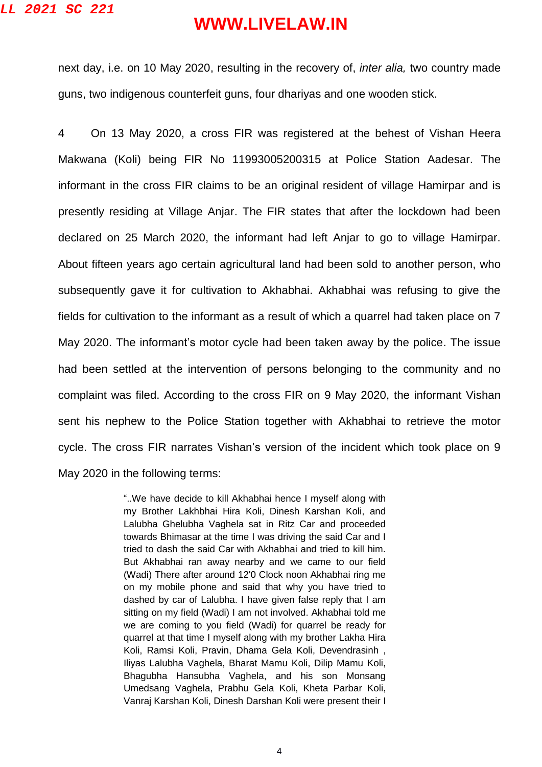next day, i.e. on 10 May 2020, resulting in the recovery of, *inter alia,* two country made guns, two indigenous counterfeit guns, four dhariyas and one wooden stick.

4 On 13 May 2020, a cross FIR was registered at the behest of Vishan Heera Makwana (Koli) being FIR No 11993005200315 at Police Station Aadesar. The informant in the cross FIR claims to be an original resident of village Hamirpar and is presently residing at Village Anjar. The FIR states that after the lockdown had been declared on 25 March 2020, the informant had left Anjar to go to village Hamirpar. About fifteen years ago certain agricultural land had been sold to another person, who subsequently gave it for cultivation to Akhabhai. Akhabhai was refusing to give the fields for cultivation to the informant as a result of which a quarrel had taken place on 7 May 2020. The informant's motor cycle had been taken away by the police. The issue had been settled at the intervention of persons belonging to the community and no complaint was filed. According to the cross FIR on 9 May 2020, the informant Vishan sent his nephew to the Police Station together with Akhabhai to retrieve the motor cycle. The cross FIR narrates Vishan's version of the incident which took place on 9 May 2020 in the following terms:

> "..We have decide to kill Akhabhai hence I myself along with my Brother Lakhbhai Hira Koli, Dinesh Karshan Koli, and Lalubha Ghelubha Vaghela sat in Ritz Car and proceeded towards Bhimasar at the time I was driving the said Car and I tried to dash the said Car with Akhabhai and tried to kill him. But Akhabhai ran away nearby and we came to our field (Wadi) There after around 12'0 Clock noon Akhabhai ring me on my mobile phone and said that why you have tried to dashed by car of Lalubha. I have given false reply that I am sitting on my field (Wadi) I am not involved. Akhabhai told me we are coming to you field (Wadi) for quarrel be ready for quarrel at that time I myself along with my brother Lakha Hira Koli, Ramsi Koli, Pravin, Dhama Gela Koli, Devendrasinh , Iliyas Lalubha Vaghela, Bharat Mamu Koli, Dilip Mamu Koli, Bhagubha Hansubha Vaghela, and his son Monsang Umedsang Vaghela, Prabhu Gela Koli, Kheta Parbar Koli, Vanraj Karshan Koli, Dinesh Darshan Koli were present their I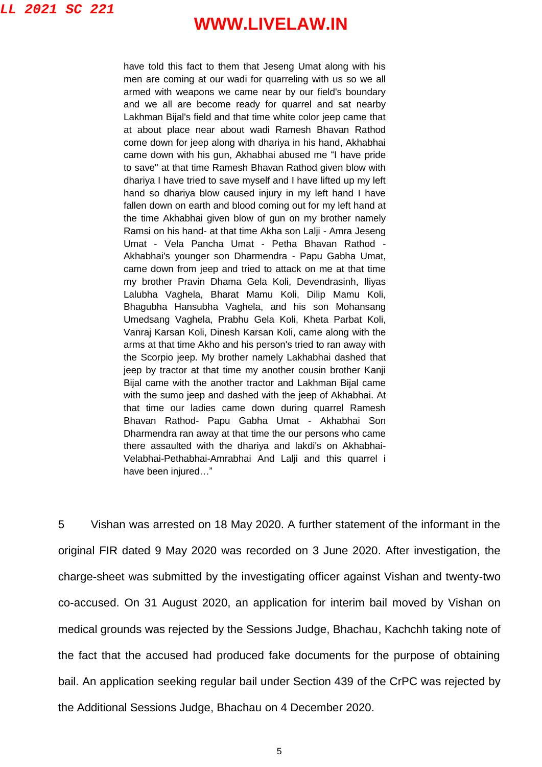have told this fact to them that Jeseng Umat along with his men are coming at our wadi for quarreling with us so we all armed with weapons we came near by our field's boundary and we all are become ready for quarrel and sat nearby Lakhman Bijal's field and that time white color jeep came that at about place near about wadi Ramesh Bhavan Rathod come down for jeep along with dhariya in his hand, Akhabhai came down with his gun, Akhabhai abused me "I have pride to save" at that time Ramesh Bhavan Rathod given blow with dhariya I have tried to save myself and I have lifted up my left hand so dhariya blow caused injury in my left hand I have fallen down on earth and blood coming out for my left hand at the time Akhabhai given blow of gun on my brother namely Ramsi on his hand- at that time Akha son Lalji - Amra Jeseng Umat - Vela Pancha Umat - Petha Bhavan Rathod - Akhabhai's younger son Dharmendra - Papu Gabha Umat, came down from jeep and tried to attack on me at that time my brother Pravin Dhama Gela Koli, Devendrasinh, Iliyas Lalubha Vaghela, Bharat Mamu Koli, Dilip Mamu Koli, Bhagubha Hansubha Vaghela, and his son Mohansang Umedsang Vaghela, Prabhu Gela Koli, Kheta Parbat Koli, Vanraj Karsan Koli, Dinesh Karsan Koli, came along with the arms at that time Akho and his person's tried to ran away with the Scorpio jeep. My brother namely Lakhabhai dashed that jeep by tractor at that time my another cousin brother Kanji Bijal came with the another tractor and Lakhman Bijal came with the sumo jeep and dashed with the jeep of Akhabhai. At that time our ladies came down during quarrel Ramesh Bhavan Rathod- Papu Gabha Umat - Akhabhai Son Dharmendra ran away at that time the our persons who came there assaulted with the dhariya and lakdi's on Akhabhai-Velabhai-Pethabhai-Amrabhai And Lalji and this quarrel i have been injured…"

5 Vishan was arrested on 18 May 2020. A further statement of the informant in the original FIR dated 9 May 2020 was recorded on 3 June 2020. After investigation, the charge-sheet was submitted by the investigating officer against Vishan and twenty-two co-accused. On 31 August 2020, an application for interim bail moved by Vishan on medical grounds was rejected by the Sessions Judge, Bhachau, Kachchh taking note of the fact that the accused had produced fake documents for the purpose of obtaining bail. An application seeking regular bail under Section 439 of the CrPC was rejected by the Additional Sessions Judge, Bhachau on 4 December 2020.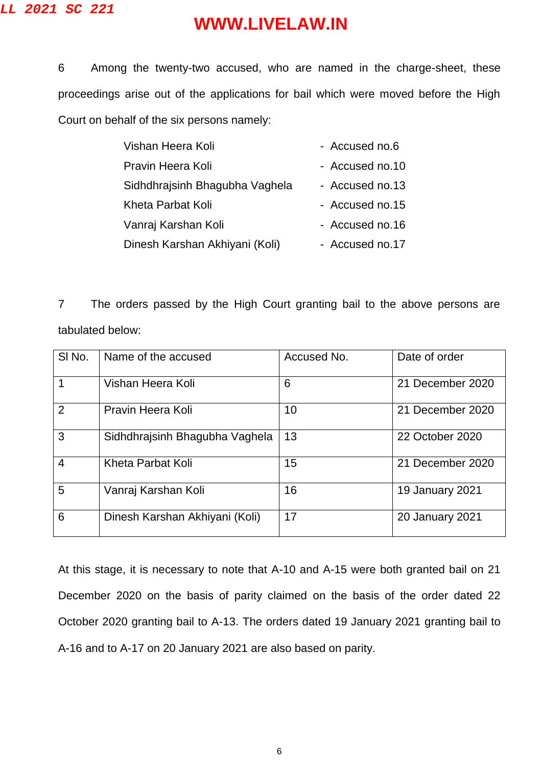#### **LL 2021 SC 221**

## **WWW.LIVELAW.IN**

6 Among the twenty-two accused, who are named in the charge-sheet, these proceedings arise out of the applications for bail which were moved before the High Court on behalf of the six persons namely:

| - Accused no.6  |
|-----------------|
| - Accused no.10 |
| - Accused no.13 |
| - Accused no.15 |
| - Accused no.16 |
| - Accused no.17 |
|                 |

7 The orders passed by the High Court granting bail to the above persons are tabulated below:

| SI No.         | Name of the accused            | Accused No. | Date of order          |
|----------------|--------------------------------|-------------|------------------------|
|                | Vishan Heera Koli              | 6           | 21 December 2020       |
| 2              | Pravin Heera Koli              | 10          | 21 December 2020       |
| 3              | Sidhdhraisinh Bhagubha Vaghela | 13          | 22 October 2020        |
| $\overline{4}$ | Kheta Parbat Koli              | 15          | 21 December 2020       |
| 5              | Vanraj Karshan Koli            | 16          | 19 January 2021        |
| 6              | Dinesh Karshan Akhiyani (Koli) | 17          | <b>20 January 2021</b> |

At this stage, it is necessary to note that A-10 and A-15 were both granted bail on 21 December 2020 on the basis of parity claimed on the basis of the order dated 22 October 2020 granting bail to A-13. The orders dated 19 January 2021 granting bail to A-16 and to A-17 on 20 January 2021 are also based on parity.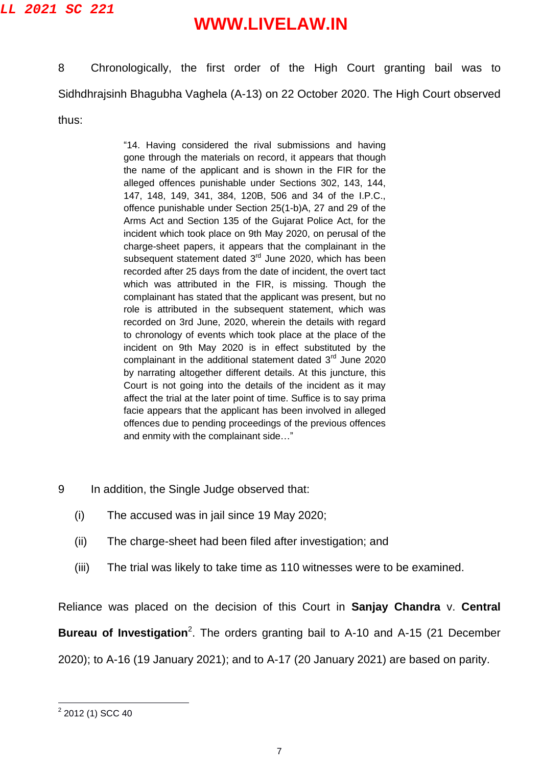8 Chronologically, the first order of the High Court granting bail was to Sidhdhrajsinh Bhagubha Vaghela (A-13) on 22 October 2020. The High Court observed thus:

> "14. Having considered the rival submissions and having gone through the materials on record, it appears that though the name of the applicant and is shown in the FIR for the alleged offences punishable under Sections 302, 143, 144, 147, 148, 149, 341, 384, 120B, 506 and 34 of the I.P.C., offence punishable under Section 25(1-b)A, 27 and 29 of the Arms Act and Section 135 of the Gujarat Police Act, for the incident which took place on 9th May 2020, on perusal of the charge-sheet papers, it appears that the complainant in the subsequent statement dated 3<sup>rd</sup> June 2020, which has been recorded after 25 days from the date of incident, the overt tact which was attributed in the FIR, is missing. Though the complainant has stated that the applicant was present, but no role is attributed in the subsequent statement, which was recorded on 3rd June, 2020, wherein the details with regard to chronology of events which took place at the place of the incident on 9th May 2020 is in effect substituted by the complainant in the additional statement dated 3rd June 2020 by narrating altogether different details. At this juncture, this Court is not going into the details of the incident as it may affect the trial at the later point of time. Suffice is to say prima facie appears that the applicant has been involved in alleged offences due to pending proceedings of the previous offences and enmity with the complainant side…"

- 9 In addition, the Single Judge observed that:
	- (i) The accused was in jail since 19 May 2020;
	- (ii) The charge-sheet had been filed after investigation; and
	- (iii) The trial was likely to take time as 110 witnesses were to be examined.

Reliance was placed on the decision of this Court in **Sanjay Chandra** v. **Central** 

**Bureau of Investigation**<sup>2</sup>. The orders granting bail to A-10 and A-15 (21 December

2020); to A-16 (19 January 2021); and to A-17 (20 January 2021) are based on parity.

 $\frac{1}{2}$  2012 (1) SCC 40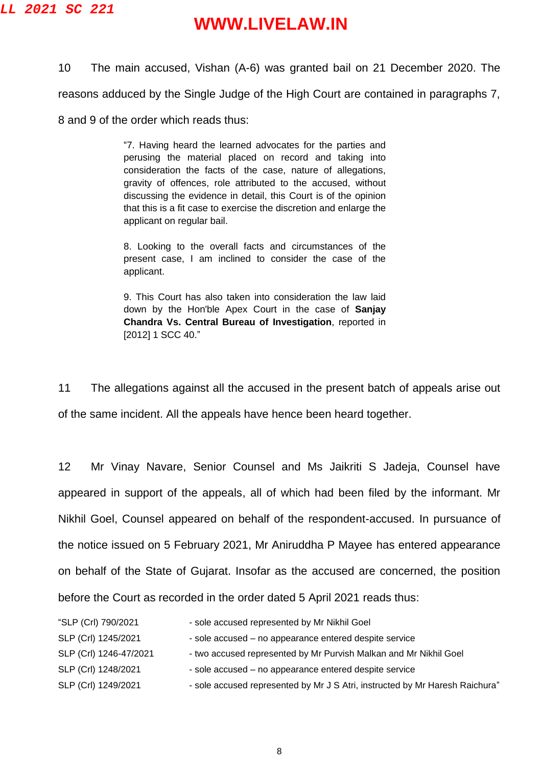10 The main accused, Vishan (A-6) was granted bail on 21 December 2020. The reasons adduced by the Single Judge of the High Court are contained in paragraphs 7, 8 and 9 of the order which reads thus:

> "7. Having heard the learned advocates for the parties and perusing the material placed on record and taking into consideration the facts of the case, nature of allegations, gravity of offences, role attributed to the accused, without discussing the evidence in detail, this Court is of the opinion that this is a fit case to exercise the discretion and enlarge the applicant on regular bail.

> 8. Looking to the overall facts and circumstances of the present case, I am inclined to consider the case of the applicant.

> 9. This Court has also taken into consideration the law laid down by the Hon'ble Apex Court in the case of **Sanjay Chandra Vs. Central Bureau of Investigation**, reported in [2012] 1 SCC 40."

11 The allegations against all the accused in the present batch of appeals arise out of the same incident. All the appeals have hence been heard together.

12 Mr Vinay Navare, Senior Counsel and Ms Jaikriti S Jadeja, Counsel have appeared in support of the appeals, all of which had been filed by the informant. Mr Nikhil Goel, Counsel appeared on behalf of the respondent-accused. In pursuance of the notice issued on 5 February 2021, Mr Aniruddha P Mayee has entered appearance on behalf of the State of Gujarat. Insofar as the accused are concerned, the position before the Court as recorded in the order dated 5 April 2021 reads thus:

| "SLP (Crl) 790/2021    | - sole accused represented by Mr Nikhil Goel                                 |
|------------------------|------------------------------------------------------------------------------|
| SLP (Crl) 1245/2021    | - sole accused - no appearance entered despite service                       |
| SLP (Crl) 1246-47/2021 | - two accused represented by Mr Purvish Malkan and Mr Nikhil Goel            |
| SLP (Crl) 1248/2021    | - sole accused – no appearance entered despite service                       |
| SLP (Crl) 1249/2021    | - sole accused represented by Mr J S Atri, instructed by Mr Haresh Raichura" |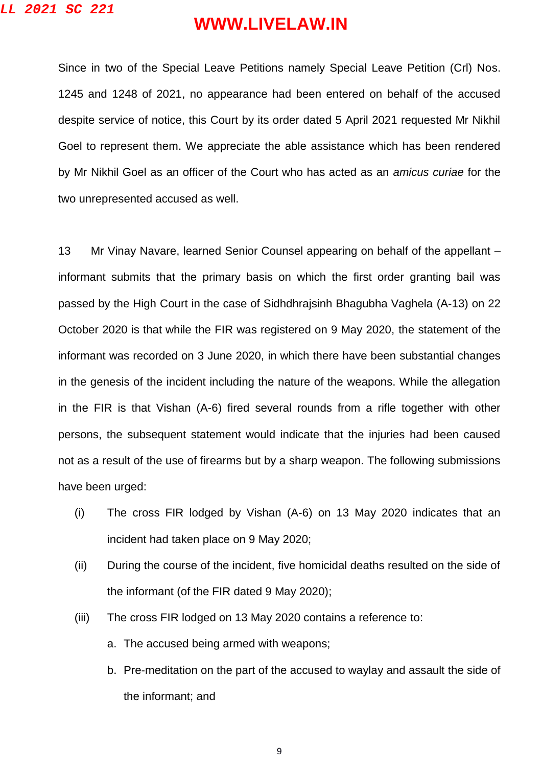Since in two of the Special Leave Petitions namely Special Leave Petition (Crl) Nos. 1245 and 1248 of 2021, no appearance had been entered on behalf of the accused despite service of notice, this Court by its order dated 5 April 2021 requested Mr Nikhil Goel to represent them. We appreciate the able assistance which has been rendered by Mr Nikhil Goel as an officer of the Court who has acted as an *amicus curiae* for the two unrepresented accused as well.

13 Mr Vinay Navare, learned Senior Counsel appearing on behalf of the appellant – informant submits that the primary basis on which the first order granting bail was passed by the High Court in the case of Sidhdhrajsinh Bhagubha Vaghela (A-13) on 22 October 2020 is that while the FIR was registered on 9 May 2020, the statement of the informant was recorded on 3 June 2020, in which there have been substantial changes in the genesis of the incident including the nature of the weapons. While the allegation in the FIR is that Vishan (A-6) fired several rounds from a rifle together with other persons, the subsequent statement would indicate that the injuries had been caused not as a result of the use of firearms but by a sharp weapon. The following submissions have been urged:

- (i) The cross FIR lodged by Vishan (A-6) on 13 May 2020 indicates that an incident had taken place on 9 May 2020;
- (ii) During the course of the incident, five homicidal deaths resulted on the side of the informant (of the FIR dated 9 May 2020);
- (iii) The cross FIR lodged on 13 May 2020 contains a reference to:
	- a. The accused being armed with weapons;
	- b. Pre-meditation on the part of the accused to waylay and assault the side of the informant; and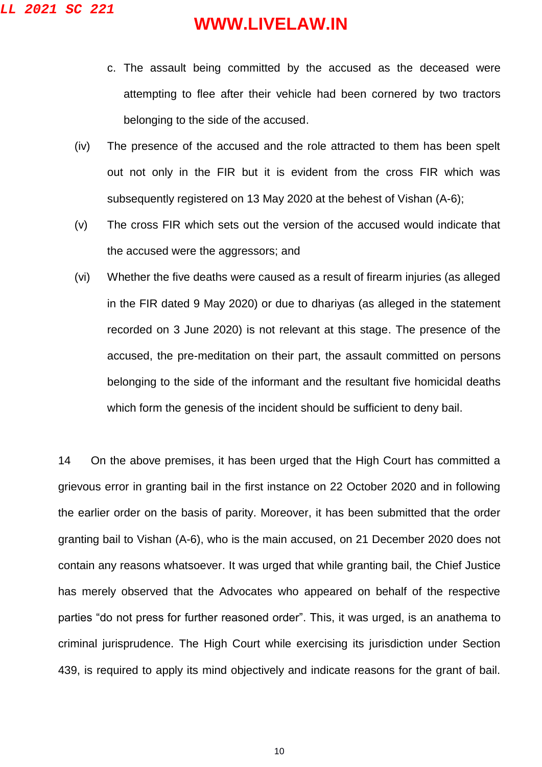- c. The assault being committed by the accused as the deceased were attempting to flee after their vehicle had been cornered by two tractors belonging to the side of the accused.
- (iv) The presence of the accused and the role attracted to them has been spelt out not only in the FIR but it is evident from the cross FIR which was subsequently registered on 13 May 2020 at the behest of Vishan (A-6);
- (v) The cross FIR which sets out the version of the accused would indicate that the accused were the aggressors; and
- (vi) Whether the five deaths were caused as a result of firearm injuries (as alleged in the FIR dated 9 May 2020) or due to dhariyas (as alleged in the statement recorded on 3 June 2020) is not relevant at this stage. The presence of the accused, the pre-meditation on their part, the assault committed on persons belonging to the side of the informant and the resultant five homicidal deaths which form the genesis of the incident should be sufficient to deny bail.

14 On the above premises, it has been urged that the High Court has committed a grievous error in granting bail in the first instance on 22 October 2020 and in following the earlier order on the basis of parity. Moreover, it has been submitted that the order granting bail to Vishan (A-6), who is the main accused, on 21 December 2020 does not contain any reasons whatsoever. It was urged that while granting bail, the Chief Justice has merely observed that the Advocates who appeared on behalf of the respective parties "do not press for further reasoned order". This, it was urged, is an anathema to criminal jurisprudence. The High Court while exercising its jurisdiction under Section 439, is required to apply its mind objectively and indicate reasons for the grant of bail.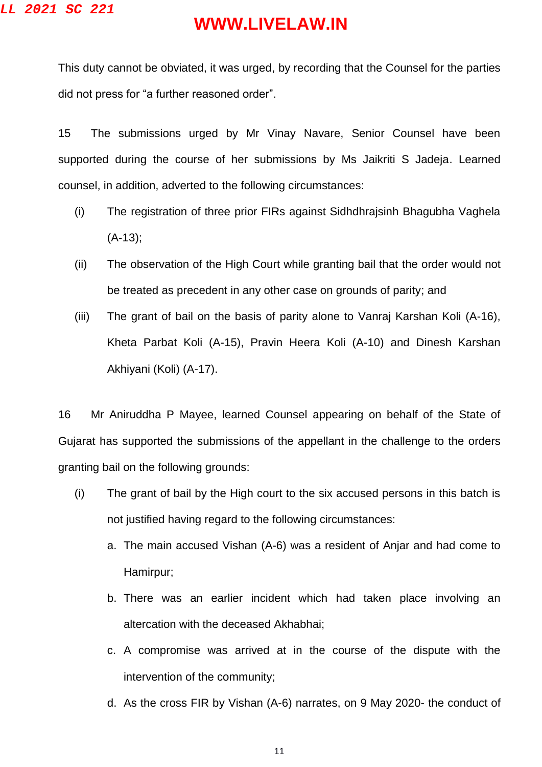This duty cannot be obviated, it was urged, by recording that the Counsel for the parties did not press for "a further reasoned order".

15 The submissions urged by Mr Vinay Navare, Senior Counsel have been supported during the course of her submissions by Ms Jaikriti S Jadeja. Learned counsel, in addition, adverted to the following circumstances:

- (i) The registration of three prior FIRs against Sidhdhrajsinh Bhagubha Vaghela (A-13);
- (ii) The observation of the High Court while granting bail that the order would not be treated as precedent in any other case on grounds of parity; and
- (iii) The grant of bail on the basis of parity alone to Vanraj Karshan Koli (A-16), Kheta Parbat Koli (A-15), Pravin Heera Koli (A-10) and Dinesh Karshan Akhiyani (Koli) (A-17).

16 Mr Aniruddha P Mayee, learned Counsel appearing on behalf of the State of Gujarat has supported the submissions of the appellant in the challenge to the orders granting bail on the following grounds:

- (i) The grant of bail by the High court to the six accused persons in this batch is not justified having regard to the following circumstances:
	- a. The main accused Vishan (A-6) was a resident of Anjar and had come to Hamirpur;
	- b. There was an earlier incident which had taken place involving an altercation with the deceased Akhabhai;
	- c. A compromise was arrived at in the course of the dispute with the intervention of the community;
	- d. As the cross FIR by Vishan (A-6) narrates, on 9 May 2020- the conduct of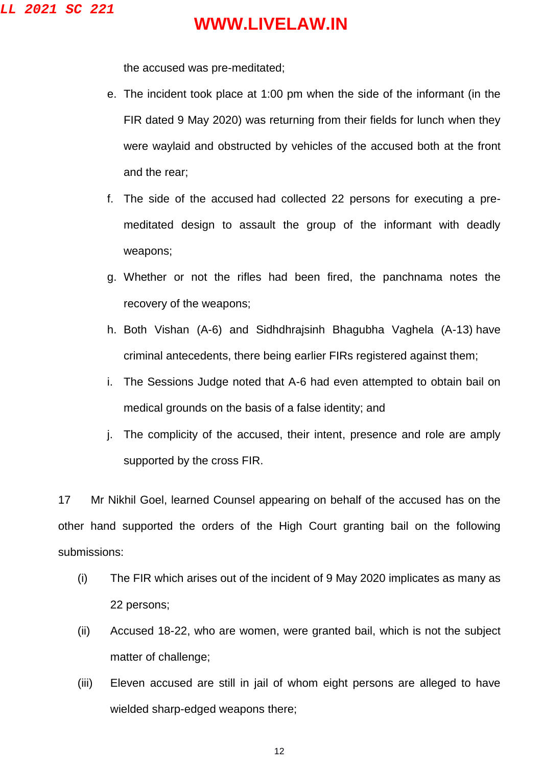the accused was pre-meditated;

- e. The incident took place at 1:00 pm when the side of the informant (in the FIR dated 9 May 2020) was returning from their fields for lunch when they were waylaid and obstructed by vehicles of the accused both at the front and the rear;
- f. The side of the accused had collected 22 persons for executing a premeditated design to assault the group of the informant with deadly weapons;
- g. Whether or not the rifles had been fired, the panchnama notes the recovery of the weapons;
- h. Both Vishan (A-6) and Sidhdhrajsinh Bhagubha Vaghela (A-13) have criminal antecedents, there being earlier FIRs registered against them;
- i. The Sessions Judge noted that A-6 had even attempted to obtain bail on medical grounds on the basis of a false identity; and
- j. The complicity of the accused, their intent, presence and role are amply supported by the cross FIR.

17 Mr Nikhil Goel, learned Counsel appearing on behalf of the accused has on the other hand supported the orders of the High Court granting bail on the following submissions:

- (i) The FIR which arises out of the incident of 9 May 2020 implicates as many as 22 persons;
- (ii) Accused 18-22, who are women, were granted bail, which is not the subject matter of challenge;
- (iii) Eleven accused are still in jail of whom eight persons are alleged to have wielded sharp-edged weapons there;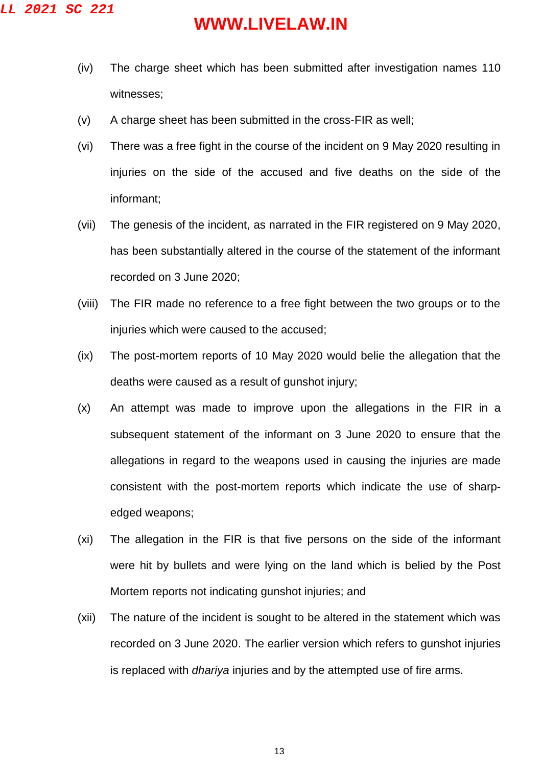- (iv) The charge sheet which has been submitted after investigation names 110 witnesses;
- (v) A charge sheet has been submitted in the cross-FIR as well;
- (vi) There was a free fight in the course of the incident on 9 May 2020 resulting in injuries on the side of the accused and five deaths on the side of the informant;
- (vii) The genesis of the incident, as narrated in the FIR registered on 9 May 2020, has been substantially altered in the course of the statement of the informant recorded on 3 June 2020;
- (viii) The FIR made no reference to a free fight between the two groups or to the injuries which were caused to the accused;
- (ix) The post-mortem reports of 10 May 2020 would belie the allegation that the deaths were caused as a result of gunshot injury;
- (x) An attempt was made to improve upon the allegations in the FIR in a subsequent statement of the informant on 3 June 2020 to ensure that the allegations in regard to the weapons used in causing the injuries are made consistent with the post-mortem reports which indicate the use of sharpedged weapons;
- (xi) The allegation in the FIR is that five persons on the side of the informant were hit by bullets and were lying on the land which is belied by the Post Mortem reports not indicating gunshot injuries; and
- (xii) The nature of the incident is sought to be altered in the statement which was recorded on 3 June 2020. The earlier version which refers to gunshot injuries is replaced with *dhariya* injuries and by the attempted use of fire arms.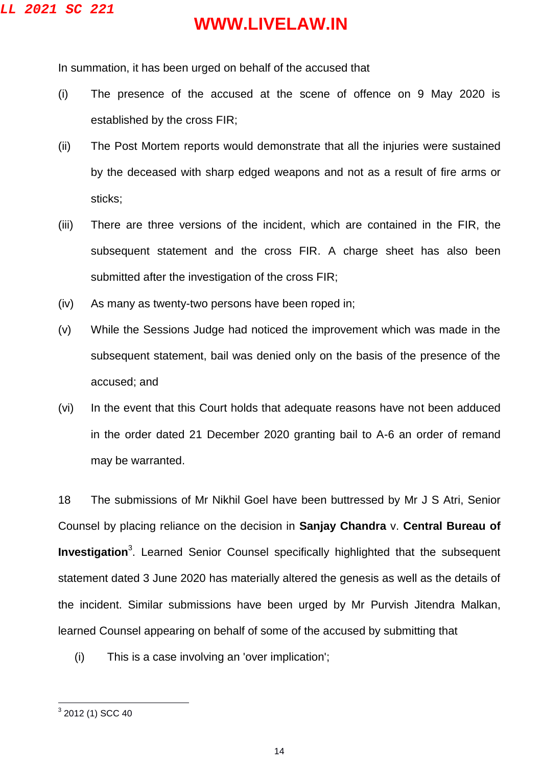In summation, it has been urged on behalf of the accused that

- (i) The presence of the accused at the scene of offence on 9 May 2020 is established by the cross FIR;
- (ii) The Post Mortem reports would demonstrate that all the injuries were sustained by the deceased with sharp edged weapons and not as a result of fire arms or sticks;
- (iii) There are three versions of the incident, which are contained in the FIR, the subsequent statement and the cross FIR. A charge sheet has also been submitted after the investigation of the cross FIR;
- (iv) As many as twenty-two persons have been roped in;
- (v) While the Sessions Judge had noticed the improvement which was made in the subsequent statement, bail was denied only on the basis of the presence of the accused; and
- (vi) In the event that this Court holds that adequate reasons have not been adduced in the order dated 21 December 2020 granting bail to A-6 an order of remand may be warranted.

18 The submissions of Mr Nikhil Goel have been buttressed by Mr J S Atri, Senior Counsel by placing reliance on the decision in **Sanjay Chandra** v. **Central Bureau of Investigation**<sup>3</sup>. Learned Senior Counsel specifically highlighted that the subsequent statement dated 3 June 2020 has materially altered the genesis as well as the details of the incident. Similar submissions have been urged by Mr Purvish Jitendra Malkan, learned Counsel appearing on behalf of some of the accused by submitting that

(i) This is a case involving an 'over implication';

 3 2012 (1) SCC 40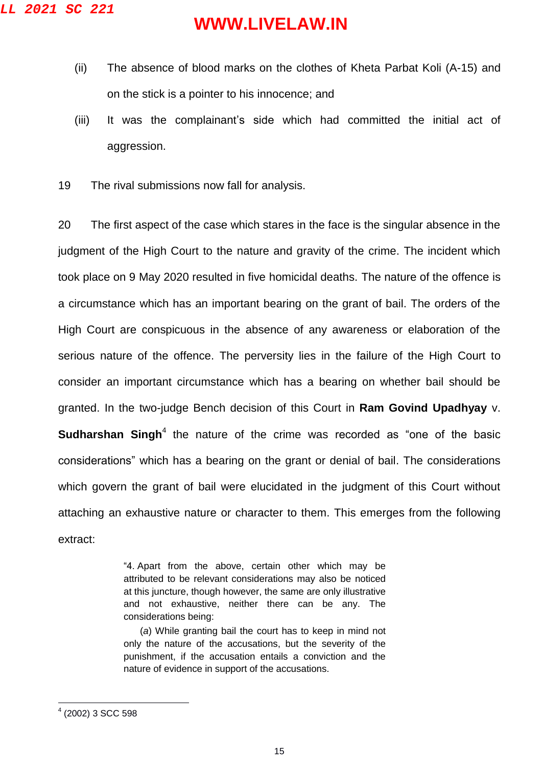- (ii) The absence of blood marks on the clothes of Kheta Parbat Koli (A-15) and on the stick is a pointer to his innocence; and
- (iii) It was the complainant's side which had committed the initial act of aggression.
- 19 The rival submissions now fall for analysis.

20 The first aspect of the case which stares in the face is the singular absence in the judgment of the High Court to the nature and gravity of the crime. The incident which took place on 9 May 2020 resulted in five homicidal deaths. The nature of the offence is a circumstance which has an important bearing on the grant of bail. The orders of the High Court are conspicuous in the absence of any awareness or elaboration of the serious nature of the offence. The perversity lies in the failure of the High Court to consider an important circumstance which has a bearing on whether bail should be granted. In the two-judge Bench decision of this Court in **Ram Govind Upadhyay** v. **Sudharshan Singh**<sup>4</sup> the nature of the crime was recorded as "one of the basic considerations" which has a bearing on the grant or denial of bail. The considerations which govern the grant of bail were elucidated in the judgment of this Court without attaching an exhaustive nature or character to them. This emerges from the following extract:

> "4. Apart from the above, certain other which may be attributed to be relevant considerations may also be noticed at this juncture, though however, the same are only illustrative and not exhaustive, neither there can be any. The considerations being:

> (*a*) While granting bail the court has to keep in mind not only the nature of the accusations, but the severity of the punishment, if the accusation entails a conviction and the nature of evidence in support of the accusations.

 $\overline{a}$ 

<sup>4</sup> (2002) 3 SCC 598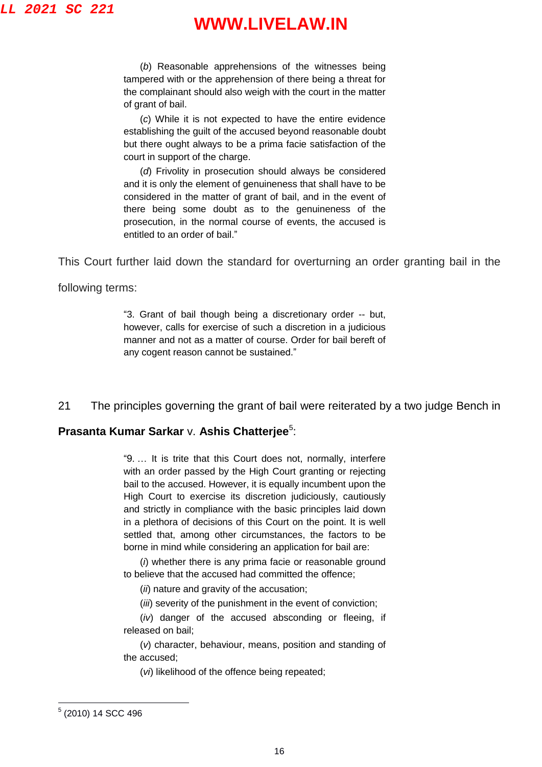(*b*) Reasonable apprehensions of the witnesses being tampered with or the apprehension of there being a threat for the complainant should also weigh with the court in the matter of grant of bail.

(*c*) While it is not expected to have the entire evidence establishing the guilt of the accused beyond reasonable doubt but there ought always to be a prima facie satisfaction of the court in support of the charge.

(*d*) Frivolity in prosecution should always be considered and it is only the element of genuineness that shall have to be considered in the matter of grant of bail, and in the event of there being some doubt as to the genuineness of the prosecution, in the normal course of events, the accused is entitled to an order of bail."

This Court further laid down the standard for overturning an order granting bail in the

following terms:

"3. Grant of bail though being a discretionary order -- but, however, calls for exercise of such a discretion in a judicious manner and not as a matter of course. Order for bail bereft of any cogent reason cannot be sustained."

21 The principles governing the grant of bail were reiterated by a two judge Bench in

#### **Prasanta Kumar Sarkar v. Ashis Chatterjee<sup>5</sup>:**

"9. … It is trite that this Court does not, normally, interfere with an order passed by the High Court granting or rejecting bail to the accused. However, it is equally incumbent upon the High Court to exercise its discretion judiciously, cautiously and strictly in compliance with the basic principles laid down in a plethora of decisions of this Court on the point. It is well settled that, among other circumstances, the factors to be borne in mind while considering an application for bail are:

(*i*) whether there is any prima facie or reasonable ground to believe that the accused had committed the offence;

(*ii*) nature and gravity of the accusation;

(*iii*) severity of the punishment in the event of conviction;

(*iv*) danger of the accused absconding or fleeing, if released on bail;

(*v*) character, behaviour, means, position and standing of the accused;

(*vi*) likelihood of the offence being repeated;

<sup>&</sup>lt;u>。</u><br>5 (2010) 14 SCC 496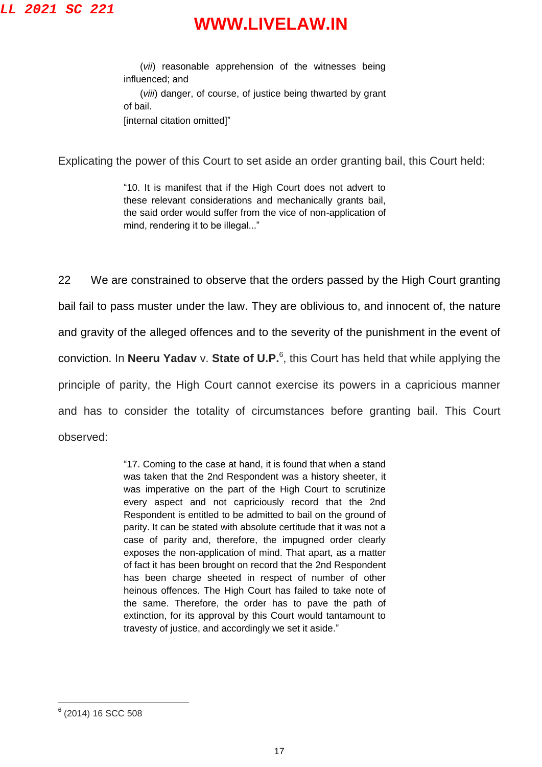(*vii*) reasonable apprehension of the witnesses being influenced; and (*viii*) danger, of course, of justice being thwarted by grant of bail. [internal citation omitted]"

Explicating the power of this Court to set aside an order granting bail, this Court held:

"10. It is manifest that if the High Court does not advert to these relevant considerations and mechanically grants bail, the said order would suffer from the vice of non-application of mind, rendering it to be illegal..."

22 We are constrained to observe that the orders passed by the High Court granting bail fail to pass muster under the law. They are oblivious to, and innocent of, the nature and gravity of the alleged offences and to the severity of the punishment in the event of conviction. In **Neeru Yadav** v. **State of U.P.** 6 , this Court has held that while applying the principle of parity, the High Court cannot exercise its powers in a capricious manner and has to consider the totality of circumstances before granting bail. This Court observed:

> "17. Coming to the case at hand, it is found that when a stand was taken that the 2nd Respondent was a history sheeter, it was imperative on the part of the High Court to scrutinize every aspect and not capriciously record that the 2nd Respondent is entitled to be admitted to bail on the ground of parity. It can be stated with absolute certitude that it was not a case of parity and, therefore, the impugned order clearly exposes the non-application of mind. That apart, as a matter of fact it has been brought on record that the 2nd Respondent has been charge sheeted in respect of number of other heinous offences. The High Court has failed to take note of the same. Therefore, the order has to pave the path of extinction, for its approval by this Court would tantamount to travesty of justice, and accordingly we set it aside."

<sup>&</sup>lt;sub>6</sub> (2014) 16 SCC 508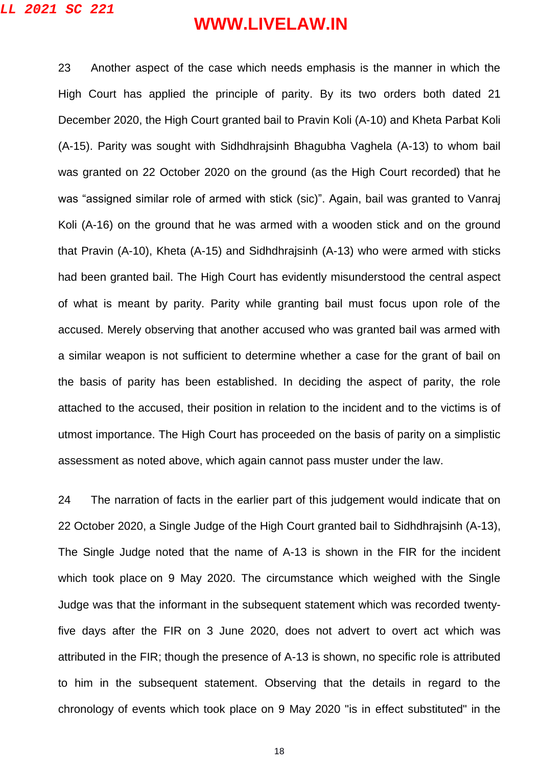23 Another aspect of the case which needs emphasis is the manner in which the High Court has applied the principle of parity. By its two orders both dated 21 December 2020, the High Court granted bail to Pravin Koli (A-10) and Kheta Parbat Koli (A-15). Parity was sought with Sidhdhrajsinh Bhagubha Vaghela (A-13) to whom bail was granted on 22 October 2020 on the ground (as the High Court recorded) that he was "assigned similar role of armed with stick (sic)". Again, bail was granted to Vanraj Koli (A-16) on the ground that he was armed with a wooden stick and on the ground that Pravin (A-10), Kheta (A-15) and Sidhdhrajsinh (A-13) who were armed with sticks had been granted bail. The High Court has evidently misunderstood the central aspect of what is meant by parity. Parity while granting bail must focus upon role of the accused. Merely observing that another accused who was granted bail was armed with a similar weapon is not sufficient to determine whether a case for the grant of bail on the basis of parity has been established. In deciding the aspect of parity, the role attached to the accused, their position in relation to the incident and to the victims is of utmost importance. The High Court has proceeded on the basis of parity on a simplistic assessment as noted above, which again cannot pass muster under the law.

24 The narration of facts in the earlier part of this judgement would indicate that on 22 October 2020, a Single Judge of the High Court granted bail to Sidhdhrajsinh (A-13), The Single Judge noted that the name of A-13 is shown in the FIR for the incident which took place on 9 May 2020. The circumstance which weighed with the Single Judge was that the informant in the subsequent statement which was recorded twentyfive days after the FIR on 3 June 2020, does not advert to overt act which was attributed in the FIR; though the presence of A-13 is shown, no specific role is attributed to him in the subsequent statement. Observing that the details in regard to the chronology of events which took place on 9 May 2020 "is in effect substituted" in the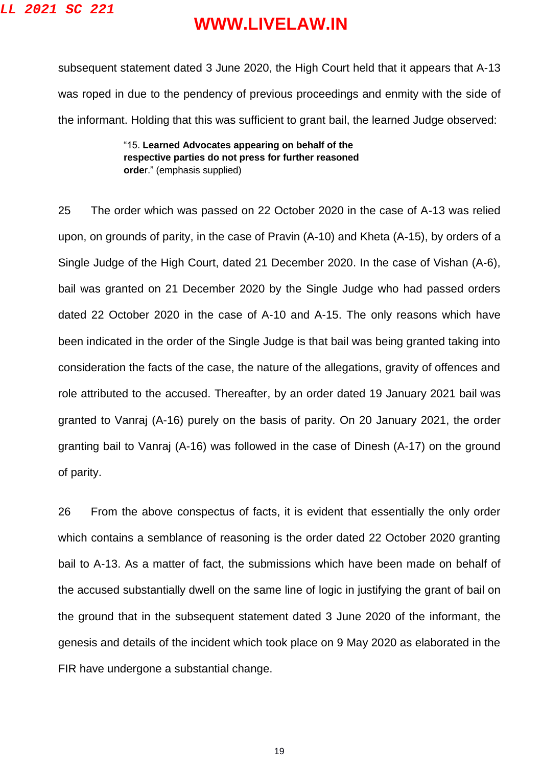subsequent statement dated 3 June 2020, the High Court held that it appears that A-13 was roped in due to the pendency of previous proceedings and enmity with the side of the informant. Holding that this was sufficient to grant bail, the learned Judge observed:

> "15. **Learned Advocates appearing on behalf of the respective parties do not press for further reasoned orde**r." (emphasis supplied)

25 The order which was passed on 22 October 2020 in the case of A-13 was relied upon, on grounds of parity, in the case of Pravin (A-10) and Kheta (A-15), by orders of a Single Judge of the High Court, dated 21 December 2020. In the case of Vishan (A-6), bail was granted on 21 December 2020 by the Single Judge who had passed orders dated 22 October 2020 in the case of A-10 and A-15. The only reasons which have been indicated in the order of the Single Judge is that bail was being granted taking into consideration the facts of the case, the nature of the allegations, gravity of offences and role attributed to the accused. Thereafter, by an order dated 19 January 2021 bail was granted to Vanraj (A-16) purely on the basis of parity. On 20 January 2021, the order granting bail to Vanraj (A-16) was followed in the case of Dinesh (A-17) on the ground of parity.

26 From the above conspectus of facts, it is evident that essentially the only order which contains a semblance of reasoning is the order dated 22 October 2020 granting bail to A-13. As a matter of fact, the submissions which have been made on behalf of the accused substantially dwell on the same line of logic in justifying the grant of bail on the ground that in the subsequent statement dated 3 June 2020 of the informant, the genesis and details of the incident which took place on 9 May 2020 as elaborated in the FIR have undergone a substantial change.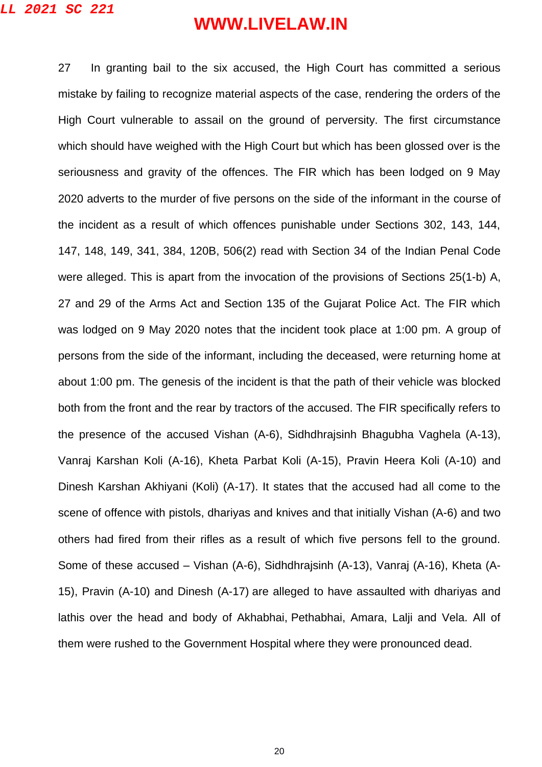27 In granting bail to the six accused, the High Court has committed a serious mistake by failing to recognize material aspects of the case, rendering the orders of the High Court vulnerable to assail on the ground of perversity. The first circumstance which should have weighed with the High Court but which has been glossed over is the seriousness and gravity of the offences. The FIR which has been lodged on 9 May 2020 adverts to the murder of five persons on the side of the informant in the course of the incident as a result of which offences punishable under Sections 302, 143, 144, 147, 148, 149, 341, 384, 120B, 506(2) read with Section 34 of the Indian Penal Code were alleged. This is apart from the invocation of the provisions of Sections 25(1-b) A, 27 and 29 of the Arms Act and Section 135 of the Gujarat Police Act. The FIR which was lodged on 9 May 2020 notes that the incident took place at 1:00 pm. A group of persons from the side of the informant, including the deceased, were returning home at about 1:00 pm. The genesis of the incident is that the path of their vehicle was blocked both from the front and the rear by tractors of the accused. The FIR specifically refers to the presence of the accused Vishan (A-6), Sidhdhrajsinh Bhagubha Vaghela (A-13), Vanraj Karshan Koli (A-16), Kheta Parbat Koli (A-15), Pravin Heera Koli (A-10) and Dinesh Karshan Akhiyani (Koli) (A-17). It states that the accused had all come to the scene of offence with pistols, dhariyas and knives and that initially Vishan (A-6) and two others had fired from their rifles as a result of which five persons fell to the ground. Some of these accused – Vishan (A-6), Sidhdhrajsinh (A-13), Vanraj (A-16), Kheta (A-15), Pravin (A-10) and Dinesh (A-17) are alleged to have assaulted with dhariyas and lathis over the head and body of Akhabhai, Pethabhai, Amara, Lalji and Vela. All of them were rushed to the Government Hospital where they were pronounced dead.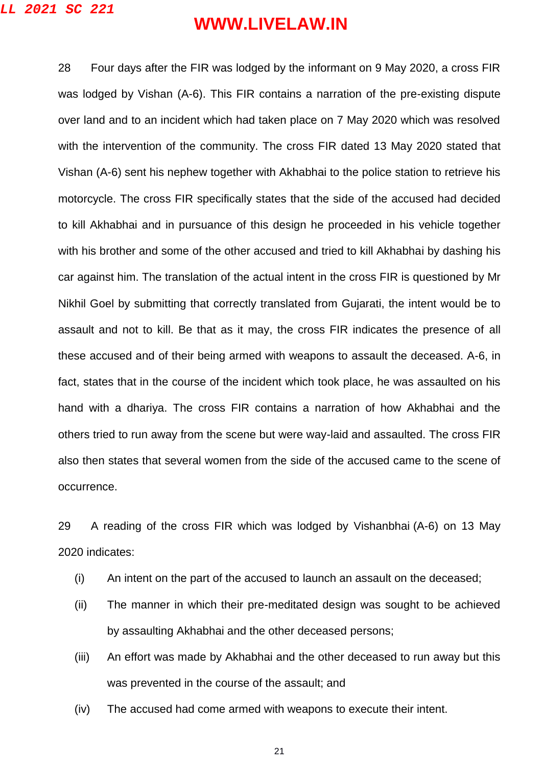**LL 2021 SC 221**

## **WWW.LIVELAW.IN**

28 Four days after the FIR was lodged by the informant on 9 May 2020, a cross FIR was lodged by Vishan (A-6). This FIR contains a narration of the pre-existing dispute over land and to an incident which had taken place on 7 May 2020 which was resolved with the intervention of the community. The cross FIR dated 13 May 2020 stated that Vishan (A-6) sent his nephew together with Akhabhai to the police station to retrieve his motorcycle. The cross FIR specifically states that the side of the accused had decided to kill Akhabhai and in pursuance of this design he proceeded in his vehicle together with his brother and some of the other accused and tried to kill Akhabhai by dashing his car against him. The translation of the actual intent in the cross FIR is questioned by Mr Nikhil Goel by submitting that correctly translated from Gujarati, the intent would be to assault and not to kill. Be that as it may, the cross FIR indicates the presence of all these accused and of their being armed with weapons to assault the deceased. A-6, in fact, states that in the course of the incident which took place, he was assaulted on his hand with a dhariya. The cross FIR contains a narration of how Akhabhai and the others tried to run away from the scene but were way-laid and assaulted. The cross FIR also then states that several women from the side of the accused came to the scene of occurrence.

29 A reading of the cross FIR which was lodged by Vishanbhai (A-6) on 13 May 2020 indicates:

- (i) An intent on the part of the accused to launch an assault on the deceased;
- (ii) The manner in which their pre-meditated design was sought to be achieved by assaulting Akhabhai and the other deceased persons;
- (iii) An effort was made by Akhabhai and the other deceased to run away but this was prevented in the course of the assault; and
- (iv) The accused had come armed with weapons to execute their intent.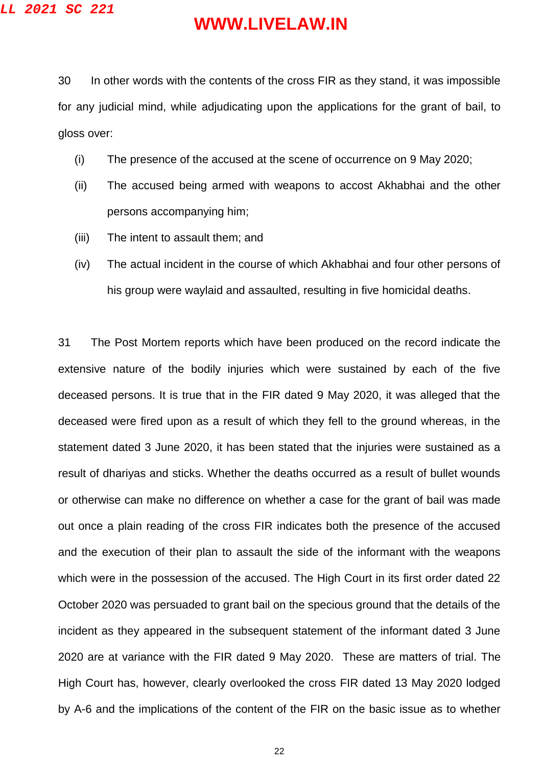30 In other words with the contents of the cross FIR as they stand, it was impossible for any judicial mind, while adjudicating upon the applications for the grant of bail, to gloss over:

- (i) The presence of the accused at the scene of occurrence on 9 May 2020;
- (ii) The accused being armed with weapons to accost Akhabhai and the other persons accompanying him;
- (iii) The intent to assault them; and
- (iv) The actual incident in the course of which Akhabhai and four other persons of his group were waylaid and assaulted, resulting in five homicidal deaths.

31 The Post Mortem reports which have been produced on the record indicate the extensive nature of the bodily injuries which were sustained by each of the five deceased persons. It is true that in the FIR dated 9 May 2020, it was alleged that the deceased were fired upon as a result of which they fell to the ground whereas, in the statement dated 3 June 2020, it has been stated that the injuries were sustained as a result of dhariyas and sticks. Whether the deaths occurred as a result of bullet wounds or otherwise can make no difference on whether a case for the grant of bail was made out once a plain reading of the cross FIR indicates both the presence of the accused and the execution of their plan to assault the side of the informant with the weapons which were in the possession of the accused. The High Court in its first order dated 22 October 2020 was persuaded to grant bail on the specious ground that the details of the incident as they appeared in the subsequent statement of the informant dated 3 June 2020 are at variance with the FIR dated 9 May 2020. These are matters of trial. The High Court has, however, clearly overlooked the cross FIR dated 13 May 2020 lodged by A-6 and the implications of the content of the FIR on the basic issue as to whether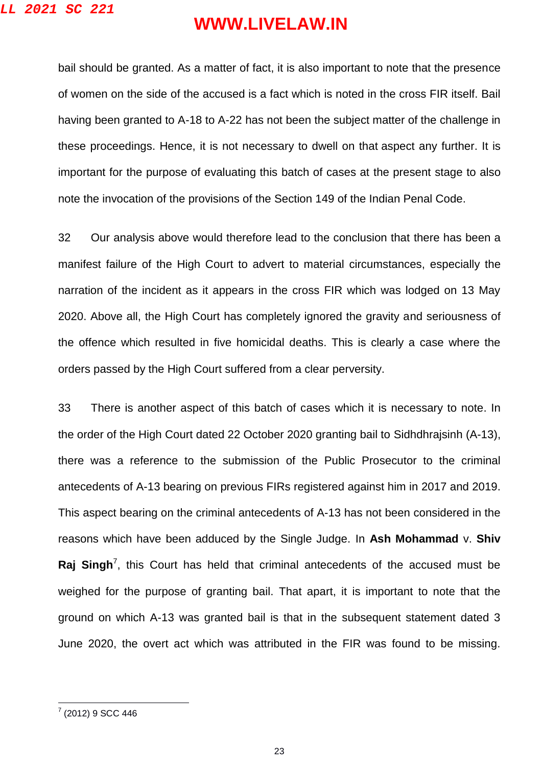bail should be granted. As a matter of fact, it is also important to note that the presence of women on the side of the accused is a fact which is noted in the cross FIR itself. Bail having been granted to A-18 to A-22 has not been the subject matter of the challenge in these proceedings. Hence, it is not necessary to dwell on that aspect any further. It is important for the purpose of evaluating this batch of cases at the present stage to also note the invocation of the provisions of the Section 149 of the Indian Penal Code.

32 Our analysis above would therefore lead to the conclusion that there has been a manifest failure of the High Court to advert to material circumstances, especially the narration of the incident as it appears in the cross FIR which was lodged on 13 May 2020. Above all, the High Court has completely ignored the gravity and seriousness of the offence which resulted in five homicidal deaths. This is clearly a case where the orders passed by the High Court suffered from a clear perversity.

33 There is another aspect of this batch of cases which it is necessary to note. In the order of the High Court dated 22 October 2020 granting bail to Sidhdhrajsinh (A-13), there was a reference to the submission of the Public Prosecutor to the criminal antecedents of A-13 bearing on previous FIRs registered against him in 2017 and 2019. This aspect bearing on the criminal antecedents of A-13 has not been considered in the reasons which have been adduced by the Single Judge. In **Ash Mohammad** v. **Shiv**  Raj Singh<sup>7</sup>, this Court has held that criminal antecedents of the accused must be weighed for the purpose of granting bail. That apart, it is important to note that the ground on which A-13 was granted bail is that in the subsequent statement dated 3 June 2020, the overt act which was attributed in the FIR was found to be missing.

<sup>–&</sup>lt;br>7 (2012) 9 SCC 446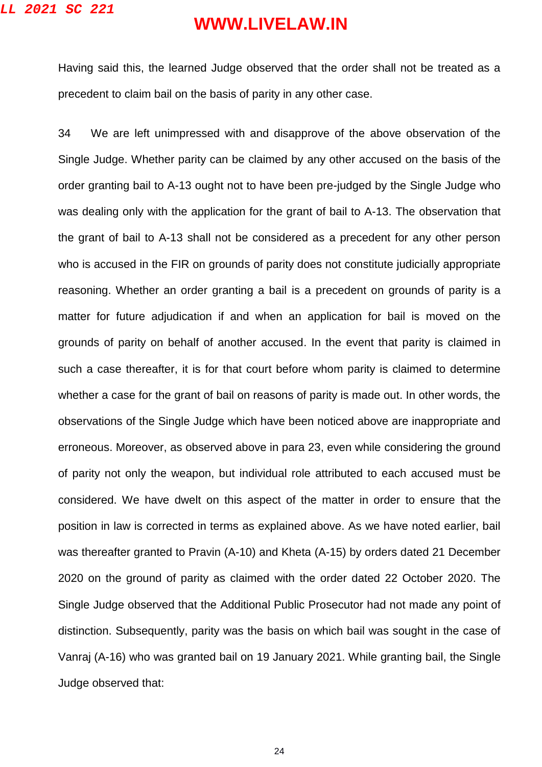Having said this, the learned Judge observed that the order shall not be treated as a precedent to claim bail on the basis of parity in any other case.

34 We are left unimpressed with and disapprove of the above observation of the Single Judge. Whether parity can be claimed by any other accused on the basis of the order granting bail to A-13 ought not to have been pre-judged by the Single Judge who was dealing only with the application for the grant of bail to A-13. The observation that the grant of bail to A-13 shall not be considered as a precedent for any other person who is accused in the FIR on grounds of parity does not constitute judicially appropriate reasoning. Whether an order granting a bail is a precedent on grounds of parity is a matter for future adjudication if and when an application for bail is moved on the grounds of parity on behalf of another accused. In the event that parity is claimed in such a case thereafter, it is for that court before whom parity is claimed to determine whether a case for the grant of bail on reasons of parity is made out. In other words, the observations of the Single Judge which have been noticed above are inappropriate and erroneous. Moreover, as observed above in para 23, even while considering the ground of parity not only the weapon, but individual role attributed to each accused must be considered. We have dwelt on this aspect of the matter in order to ensure that the position in law is corrected in terms as explained above. As we have noted earlier, bail was thereafter granted to Pravin (A-10) and Kheta (A-15) by orders dated 21 December 2020 on the ground of parity as claimed with the order dated 22 October 2020. The Single Judge observed that the Additional Public Prosecutor had not made any point of distinction. Subsequently, parity was the basis on which bail was sought in the case of Vanraj (A-16) who was granted bail on 19 January 2021. While granting bail, the Single Judge observed that: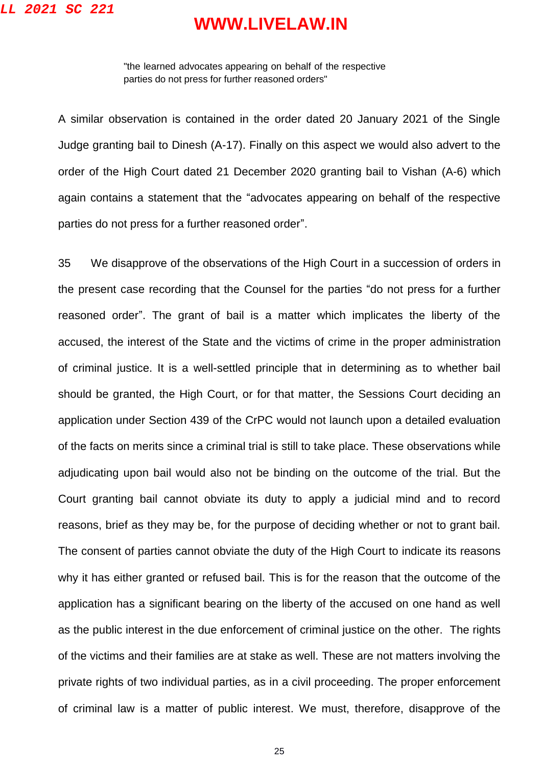"the learned advocates appearing on behalf of the respective parties do not press for further reasoned orders"

A similar observation is contained in the order dated 20 January 2021 of the Single Judge granting bail to Dinesh (A-17). Finally on this aspect we would also advert to the order of the High Court dated 21 December 2020 granting bail to Vishan (A-6) which again contains a statement that the "advocates appearing on behalf of the respective parties do not press for a further reasoned order".

35 We disapprove of the observations of the High Court in a succession of orders in the present case recording that the Counsel for the parties "do not press for a further reasoned order". The grant of bail is a matter which implicates the liberty of the accused, the interest of the State and the victims of crime in the proper administration of criminal justice. It is a well-settled principle that in determining as to whether bail should be granted, the High Court, or for that matter, the Sessions Court deciding an application under Section 439 of the CrPC would not launch upon a detailed evaluation of the facts on merits since a criminal trial is still to take place. These observations while adjudicating upon bail would also not be binding on the outcome of the trial. But the Court granting bail cannot obviate its duty to apply a judicial mind and to record reasons, brief as they may be, for the purpose of deciding whether or not to grant bail. The consent of parties cannot obviate the duty of the High Court to indicate its reasons why it has either granted or refused bail. This is for the reason that the outcome of the application has a significant bearing on the liberty of the accused on one hand as well as the public interest in the due enforcement of criminal justice on the other. The rights of the victims and their families are at stake as well. These are not matters involving the private rights of two individual parties, as in a civil proceeding. The proper enforcement of criminal law is a matter of public interest. We must, therefore, disapprove of the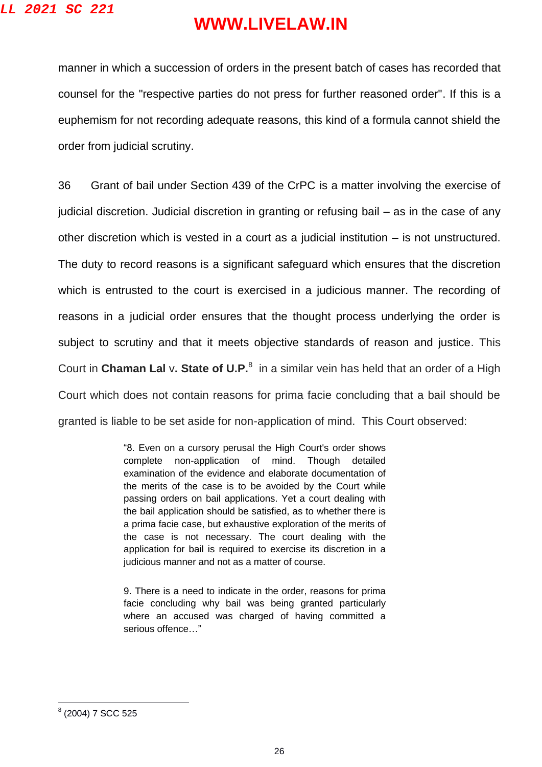manner in which a succession of orders in the present batch of cases has recorded that counsel for the "respective parties do not press for further reasoned order". If this is a euphemism for not recording adequate reasons, this kind of a formula cannot shield the order from judicial scrutiny.

36 Grant of bail under Section 439 of the CrPC is a matter involving the exercise of judicial discretion. Judicial discretion in granting or refusing bail – as in the case of any other discretion which is vested in a court as a judicial institution – is not unstructured. The duty to record reasons is a significant safeguard which ensures that the discretion which is entrusted to the court is exercised in a judicious manner. The recording of reasons in a judicial order ensures that the thought process underlying the order is subject to scrutiny and that it meets objective standards of reason and justice. This Court in Chaman Lal v. State of U.P.<sup>8</sup> in a similar vein has held that an order of a High Court which does not contain reasons for prima facie concluding that a bail should be granted is liable to be set aside for non-application of mind. This Court observed:

> "8. Even on a cursory perusal the High Court's order shows complete non-application of mind. Though detailed examination of the evidence and elaborate documentation of the merits of the case is to be avoided by the Court while passing orders on bail applications. Yet a court dealing with the bail application should be satisfied, as to whether there is a prima facie case, but exhaustive exploration of the merits of the case is not necessary. The court dealing with the application for bail is required to exercise its discretion in a judicious manner and not as a matter of course.

> 9. There is a need to indicate in the order, reasons for prima facie concluding why bail was being granted particularly where an accused was charged of having committed a serious offence…"

<sup>&</sup>lt;sub>8</sub><br>(2004) 7 SCC 525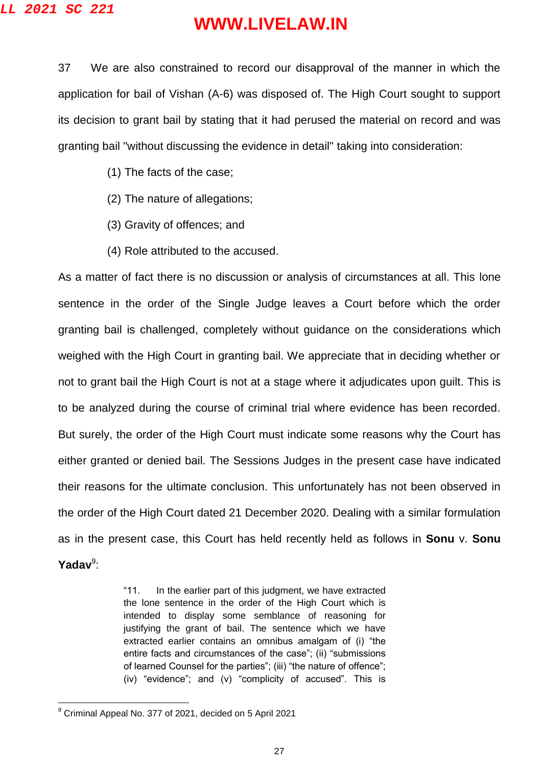37 We are also constrained to record our disapproval of the manner in which the application for bail of Vishan (A-6) was disposed of. The High Court sought to support its decision to grant bail by stating that it had perused the material on record and was granting bail "without discussing the evidence in detail" taking into consideration:

- (1) The facts of the case;
- (2) The nature of allegations;
- (3) Gravity of offences; and
- (4) Role attributed to the accused.

As a matter of fact there is no discussion or analysis of circumstances at all. This lone sentence in the order of the Single Judge leaves a Court before which the order granting bail is challenged, completely without guidance on the considerations which weighed with the High Court in granting bail. We appreciate that in deciding whether or not to grant bail the High Court is not at a stage where it adjudicates upon guilt. This is to be analyzed during the course of criminal trial where evidence has been recorded. But surely, the order of the High Court must indicate some reasons why the Court has either granted or denied bail. The Sessions Judges in the present case have indicated their reasons for the ultimate conclusion. This unfortunately has not been observed in the order of the High Court dated 21 December 2020. Dealing with a similar formulation as in the present case, this Court has held recently held as follows in **Sonu** v. **Sonu**  Yadav<sup>9</sup>:

> "11. In the earlier part of this judgment, we have extracted the lone sentence in the order of the High Court which is intended to display some semblance of reasoning for justifying the grant of bail. The sentence which we have extracted earlier contains an omnibus amalgam of (i) "the entire facts and circumstances of the case"; (ii) "submissions of learned Counsel for the parties"; (iii) "the nature of offence"; (iv) "evidence"; and (v) "complicity of accused". This is

 $\overline{a}$ 

 $9$  Criminal Appeal No. 377 of 2021, decided on 5 April 2021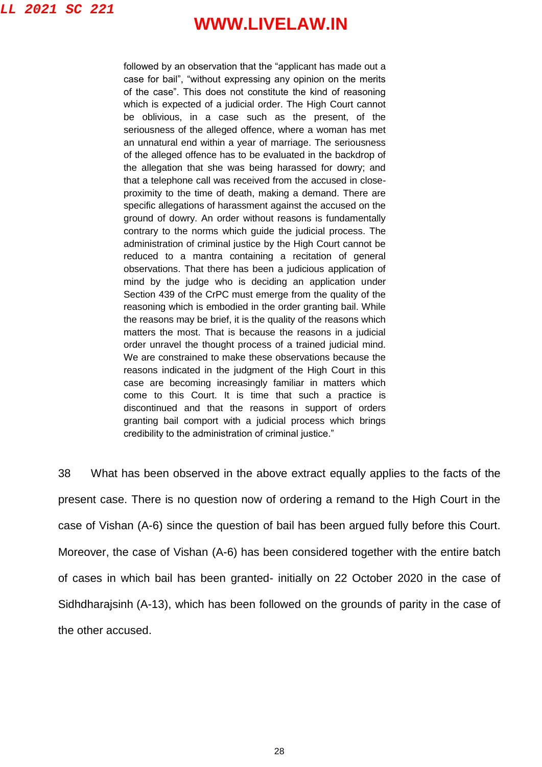#### **LL 2021 SC 221**

## **WWW.LIVELAW.IN**

followed by an observation that the "applicant has made out a case for bail", "without expressing any opinion on the merits of the case". This does not constitute the kind of reasoning which is expected of a judicial order. The High Court cannot be oblivious, in a case such as the present, of the seriousness of the alleged offence, where a woman has met an unnatural end within a year of marriage. The seriousness of the alleged offence has to be evaluated in the backdrop of the allegation that she was being harassed for dowry; and that a telephone call was received from the accused in closeproximity to the time of death, making a demand. There are specific allegations of harassment against the accused on the ground of dowry. An order without reasons is fundamentally contrary to the norms which guide the judicial process. The administration of criminal justice by the High Court cannot be reduced to a mantra containing a recitation of general observations. That there has been a judicious application of mind by the judge who is deciding an application under Section 439 of the CrPC must emerge from the quality of the reasoning which is embodied in the order granting bail. While the reasons may be brief, it is the quality of the reasons which matters the most. That is because the reasons in a judicial order unravel the thought process of a trained judicial mind. We are constrained to make these observations because the reasons indicated in the judgment of the High Court in this case are becoming increasingly familiar in matters which come to this Court. It is time that such a practice is discontinued and that the reasons in support of orders granting bail comport with a judicial process which brings credibility to the administration of criminal justice."

38 What has been observed in the above extract equally applies to the facts of the present case. There is no question now of ordering a remand to the High Court in the case of Vishan (A-6) since the question of bail has been argued fully before this Court. Moreover, the case of Vishan (A-6) has been considered together with the entire batch of cases in which bail has been granted- initially on 22 October 2020 in the case of Sidhdharajsinh (A-13), which has been followed on the grounds of parity in the case of the other accused.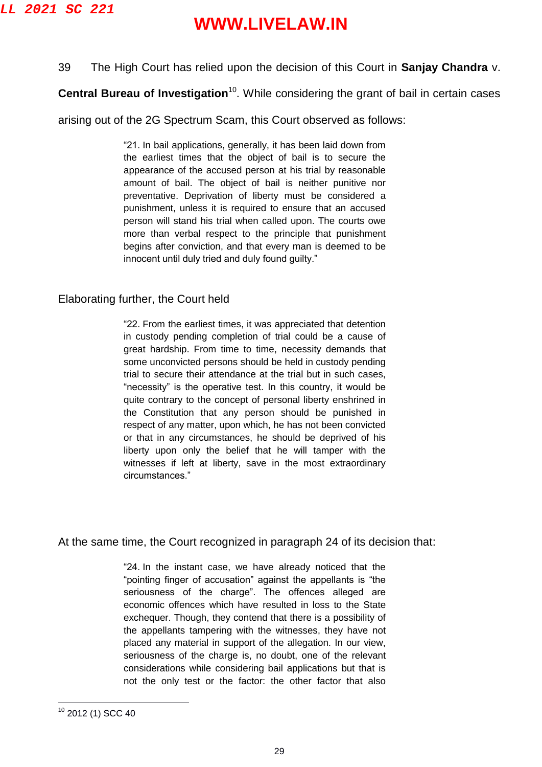#### 39 The High Court has relied upon the decision of this Court in **Sanjay Chandra** v.

**Central Bureau of Investigation**<sup>10</sup>. While considering the grant of bail in certain cases

arising out of the 2G Spectrum Scam, this Court observed as follows:

"21. In bail applications, generally, it has been laid down from the earliest times that the object of bail is to secure the appearance of the accused person at his trial by reasonable amount of bail. The object of bail is neither punitive nor preventative. Deprivation of liberty must be considered a punishment, unless it is required to ensure that an accused person will stand his trial when called upon. The courts owe more than verbal respect to the principle that punishment begins after conviction, and that every man is deemed to be innocent until duly tried and duly found guilty."

#### Elaborating further, the Court held

"22. From the earliest times, it was appreciated that detention in custody pending completion of trial could be a cause of great hardship. From time to time, necessity demands that some unconvicted persons should be held in custody pending trial to secure their attendance at the trial but in such cases, "necessity" is the operative test. In this country, it would be quite contrary to the concept of personal liberty enshrined in the Constitution that any person should be punished in respect of any matter, upon which, he has not been convicted or that in any circumstances, he should be deprived of his liberty upon only the belief that he will tamper with the witnesses if left at liberty, save in the most extraordinary circumstances."

At the same time, the Court recognized in paragraph 24 of its decision that:

"24. In the instant case, we have already noticed that the "pointing finger of accusation" against the appellants is "the seriousness of the charge". The offences alleged are economic offences which have resulted in loss to the State exchequer. Though, they contend that there is a possibility of the appellants tampering with the witnesses, they have not placed any material in support of the allegation. In our view, seriousness of the charge is, no doubt, one of the relevant considerations while considering bail applications but that is not the only test or the factor: the other factor that also

 $\overline{a}$ <sup>10</sup> 2012 (1) SCC 40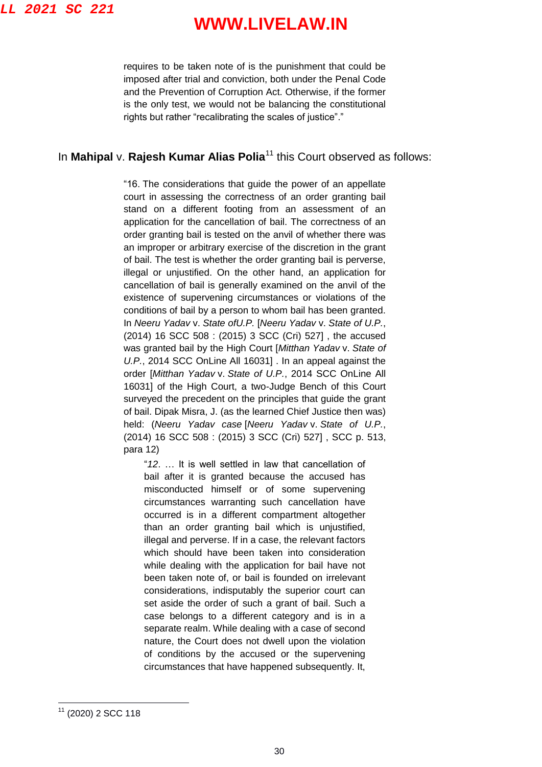requires to be taken note of is the punishment that could be imposed after trial and conviction, both under the Penal Code and the Prevention of Corruption Act. Otherwise, if the former is the only test, we would not be balancing the constitutional rights but rather "recalibrating the scales of justice"."

#### In **Mahipal v. Rajesh Kumar Alias Polia<sup>11</sup> this Court observed as follows:**

"16. The considerations that guide the power of an appellate court in assessing the correctness of an order granting bail stand on a different footing from an assessment of an application for the cancellation of bail. The correctness of an order granting bail is tested on the anvil of whether there was an improper or arbitrary exercise of the discretion in the grant of bail. The test is whether the order granting bail is perverse, illegal or unjustified. On the other hand, an application for cancellation of bail is generally examined on the anvil of the existence of supervening circumstances or violations of the conditions of bail by a person to whom bail has been granted. In *Neeru Yadav* v. *State ofU.P.* [*Neeru Yadav* v. *State of U.P.*, (2014) 16 SCC 508 : (2015) 3 SCC (Cri) 527] , the accused was granted bail by the High Court [*Mitthan Yadav* v. *State of U.P.*, 2014 SCC OnLine All 16031] . In an appeal against the order [*Mitthan Yadav* v. *State of U.P.*, 2014 SCC OnLine All 16031] of the High Court, a two-Judge Bench of this Court surveyed the precedent on the principles that guide the grant of bail. Dipak Misra, J. (as the learned Chief Justice then was) held: (*Neeru Yadav case* [*Neeru Yadav* v. *State of U.P.*, (2014) 16 SCC 508 : (2015) 3 SCC (Cri) 527] , SCC p. 513, para 12)

"*12*. … It is well settled in law that cancellation of bail after it is granted because the accused has misconducted himself or of some supervening circumstances warranting such cancellation have occurred is in a different compartment altogether than an order granting bail which is unjustified, illegal and perverse. If in a case, the relevant factors which should have been taken into consideration while dealing with the application for bail have not been taken note of, or bail is founded on irrelevant considerations, indisputably the superior court can set aside the order of such a grant of bail. Such a case belongs to a different category and is in a separate realm. While dealing with a case of second nature, the Court does not dwell upon the violation of conditions by the accused or the supervening circumstances that have happened subsequently. It,

 $\overline{a}$ 

<sup>11</sup> (2020) 2 SCC 118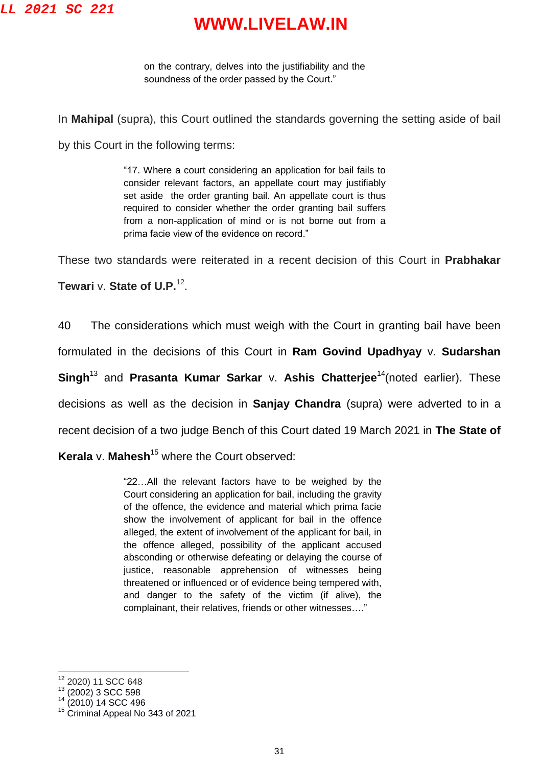on the contrary, delves into the justifiability and the soundness of the order passed by the Court."

In **Mahipal** (supra), this Court outlined the standards governing the setting aside of bail

by this Court in the following terms:

"17. Where a court considering an application for bail fails to consider relevant factors, an appellate court may justifiably set aside the order granting bail. An appellate court is thus required to consider whether the order granting bail suffers from a non-application of mind or is not borne out from a prima facie view of the evidence on record."

These two standards were reiterated in a recent decision of this Court in **Prabhakar** 

**Tewari** v. **State of U.P.**<sup>12</sup> .

40 The considerations which must weigh with the Court in granting bail have been

formulated in the decisions of this Court in **Ram Govind Upadhyay** v. **Sudarshan** 

**Singh<sup>13</sup>** and **Prasanta Kumar Sarkar v. Ashis Chatteriee<sup>14</sup>(noted earlier). These** 

decisions as well as the decision in **Sanjay Chandra** (supra) were adverted to in a

recent decision of a two judge Bench of this Court dated 19 March 2021 in **The State of** 

**Kerala** v. **Mahesh**<sup>15</sup> where the Court observed:

"22…All the relevant factors have to be weighed by the Court considering an application for bail, including the gravity of the offence, the evidence and material which prima facie show the involvement of applicant for bail in the offence alleged, the extent of involvement of the applicant for bail, in the offence alleged, possibility of the applicant accused absconding or otherwise defeating or delaying the course of justice, reasonable apprehension of witnesses being threatened or influenced or of evidence being tempered with, and danger to the safety of the victim (if alive), the complainant, their relatives, friends or other witnesses…."

 $\overline{a}$ 

<sup>&</sup>lt;sup>12</sup> 2020) 11 SCC 648

 $13$  (2002) 3 SCC 598

 $(2010)$  14 SCC 496

<sup>&</sup>lt;sup>15</sup> Criminal Appeal No 343 of 2021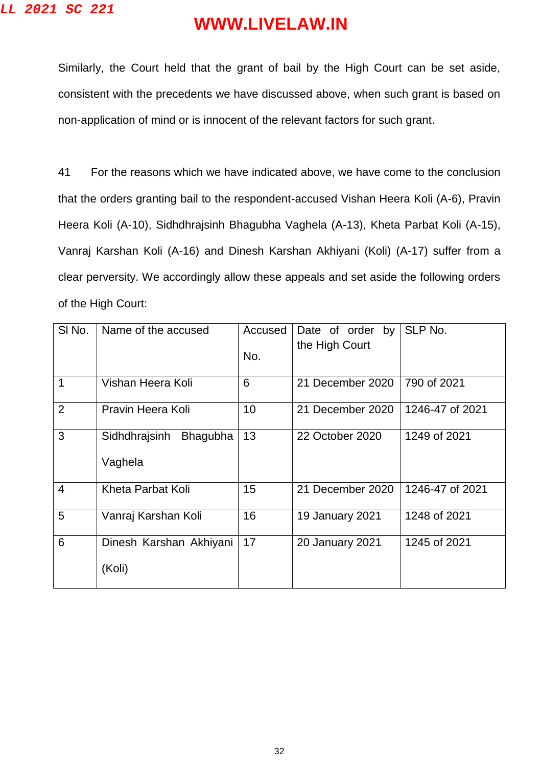Similarly, the Court held that the grant of bail by the High Court can be set aside, consistent with the precedents we have discussed above, when such grant is based on non-application of mind or is innocent of the relevant factors for such grant.

41 For the reasons which we have indicated above, we have come to the conclusion that the orders granting bail to the respondent-accused Vishan Heera Koli (A-6), Pravin Heera Koli (A-10), Sidhdhrajsinh Bhagubha Vaghela (A-13), Kheta Parbat Koli (A-15), Vanraj Karshan Koli (A-16) and Dinesh Karshan Akhiyani (Koli) (A-17) suffer from a clear perversity. We accordingly allow these appeals and set aside the following orders of the High Court:

| SI No.         | Name of the accused                         | Accused<br>No. | Date of order by<br>the High Court | SLP No.         |
|----------------|---------------------------------------------|----------------|------------------------------------|-----------------|
| 1              | Vishan Heera Koli                           | 6              | 21 December 2020                   | 790 of 2021     |
| 2              | Pravin Heera Koli                           | 10             | 21 December 2020                   | 1246-47 of 2021 |
| 3              | Sidhdhrajsinh<br><b>Bhagubha</b><br>Vaghela | 13             | 22 October 2020                    | 1249 of 2021    |
| $\overline{4}$ | Kheta Parbat Koli                           | 15             | 21 December 2020                   | 1246-47 of 2021 |
| 5              | Vanraj Karshan Koli                         | 16             | 19 January 2021                    | 1248 of 2021    |
| 6              | Dinesh Karshan Akhiyani<br>(Koli)           | 17             | <b>20 January 2021</b>             | 1245 of 2021    |